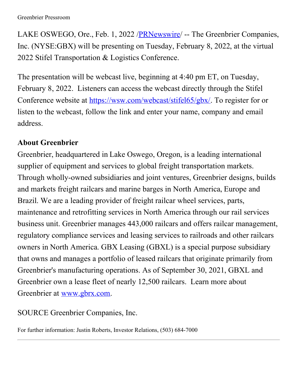LAKE OSWEGO, Ore., Feb. 1, 2022 [/PRNewswire](http://www.prnewswire.com/)/ -- The Greenbrier Companies, Inc. (NYSE:GBX) will be presenting on Tuesday, February 8, 2022, at the virtual 2022 Stifel Transportation & Logistics Conference.

The presentation will be webcast live, beginning at 4:40 pm ET, on Tuesday, February 8, 2022. Listeners can access the webcast directly through the Stifel Conference website at [https://wsw.com/webcast/stifel65/gbx/](https://c212.net/c/link/?t=0&l=en&o=3431329-1&h=4186146815&u=https%3A%2F%2Fwsw.com%2Fwebcast%2Fstifel65%2Fgbx%2F&a=https%3A%2F%2Fwsw.com%2Fwebcast%2Fstifel65%2Fgbx%2F). To register for or listen to the webcast, follow the link and enter your name, company and email address.

## **About Greenbrier**

Greenbrier, headquartered in Lake Oswego, Oregon, is a leading international supplier of equipment and services to global freight transportation markets. Through wholly-owned subsidiaries and joint ventures, Greenbrier designs, builds and markets freight railcars and marine barges in North America, Europe and Brazil. We are a leading provider of freight railcar wheel services, parts, maintenance and retrofitting services in North America through our rail services business unit. Greenbrier manages 443,000 railcars and offers railcar management, regulatory compliance services and leasing services to railroads and other railcars owners in North America. GBX Leasing (GBXL) is a special purpose subsidiary that owns and manages a portfolio of leased railcars that originate primarily from Greenbrier's manufacturing operations. As of September 30, 2021, GBXL and Greenbrier own a lease fleet of nearly 12,500 railcars. Learn more about Greenbrier at [www.gbrx.com](https://c212.net/c/link/?t=0&l=en&o=3431329-1&h=1754414959&u=http%3A%2F%2Fwww.gbrx.com%2F&a=www.gbrx.com).

SOURCE Greenbrier Companies, Inc.

For further information: Justin Roberts, Investor Relations, (503) 684-7000